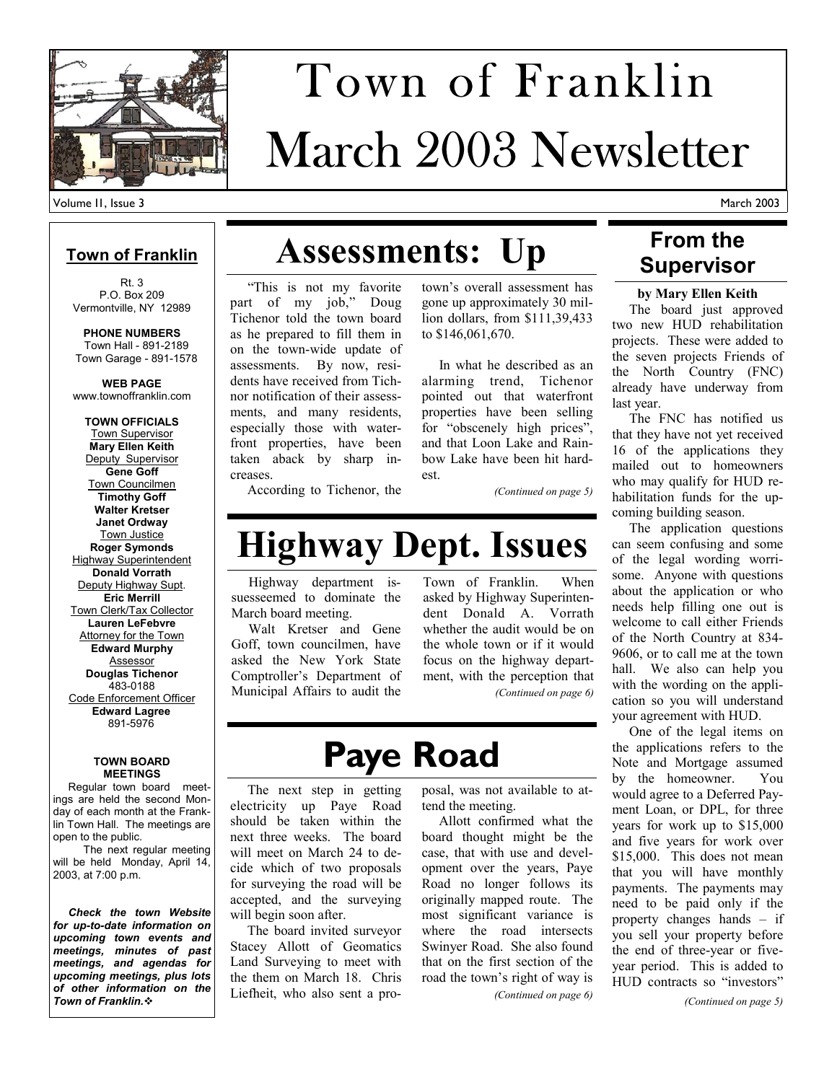

# March 2003 Newsletter Town of Franklin

Volume I1, Issue 3 March 2003

### **Town of Franklin**

Rt. 3 P.O. Box 209 Vermontville, NY 12989

**PHONE NUMBERS**  Town Hall - 891-2189 Town Garage - 891-1578

**WEB PAGE**  www.townoffranklin.com

**TOWN OFFICIALS**  Town Supervisor **Mary Ellen Keith**  Deputy Supervisor **Gene Goff**  Town Councilmen **Timothy Goff Walter Kretser Janet Ordway**  Town Justice **Roger Symonds**  Highway Superintendent **Donald Vorrath**  Deputy Highway Supt. **Eric Merrill**  Town Clerk/Tax Collector **Lauren LeFebvre Attorney for the Town Edward Murphy**  Assessor **Douglas Tichenor**  483-0188 Code Enforcement Officer **Edward Lagree**  891-5976

#### **TOWN BOARD MEETINGS**

 Regular town board meetings are held the second Monday of each month at the Franklin Town Hall. The meetings are open to the public.

 The next regular meeting will be held Monday, April 14, 2003, at 7:00 p.m.

 *Check the town Website for up-to-date information on upcoming town events and meetings, minutes of past meetings, and agendas for upcoming meetings, plus lots of other information on the Town of Franklin.*

# **Assessments:** Up From the **Supervisor**

**Paye Road** 

**Highway Dept. Issues** 

 "This is not my favorite part of my job," Doug Tichenor told the town board as he prepared to fill them in on the town-wide update of assessments. By now, residents have received from Tichnor notification of their assessments, and many residents, especially those with waterfront properties, have been taken aback by sharp increases.

According to Tichenor, the

 Highway department issuesseemed to dominate the

 Walt Kretser and Gene Goff, town councilmen, have asked the New York State Comptroller's Department of Municipal Affairs to audit the

March board meeting.

 The next step in getting electricity up Paye Road should be taken within the next three weeks. The board will meet on March 24 to decide which of two proposals for surveying the road will be accepted, and the surveying

 The board invited surveyor Stacey Allott of Geomatics Land Surveying to meet with the them on March 18. Chris Liefheit, who also sent a pro-

will begin soon after.

town's overall assessment has gone up approximately 30 million dollars, from \$111,39,433 to \$146,061,670.

 In what he described as an alarming trend, Tichenor pointed out that waterfront properties have been selling for "obscenely high prices", and that Loon Lake and Rainbow Lake have been hit hardest.

Town of Franklin. When asked by Highway Superintendent Donald A. Vorrath whether the audit would be on the whole town or if it would focus on the highway department, with the perception that

*(Continued on page 5)* 

*(Continued on page 6)* 

**by Mary Ellen Keith** 

 The board just approved two new HUD rehabilitation projects. These were added to the seven projects Friends of the North Country (FNC) already have underway from last year.

 The FNC has notified us that they have not yet received 16 of the applications they mailed out to homeowners who may qualify for HUD rehabilitation funds for the upcoming building season.

 The application questions can seem confusing and some of the legal wording worrisome. Anyone with questions about the application or who needs help filling one out is welcome to call either Friends of the North Country at 834- 9606, or to call me at the town hall. We also can help you with the wording on the application so you will understand your agreement with HUD.

 One of the legal items on the applications refers to the Note and Mortgage assumed by the homeowner. You would agree to a Deferred Payment Loan, or DPL, for three years for work up to \$15,000 and five years for work over \$15,000. This does not mean that you will have monthly payments. The payments may need to be paid only if the property changes hands – if you sell your property before the end of three-year or fiveyear period. This is added to HUD contracts so "investors"

most significant variance is where the road intersects Swinyer Road. She also found that on the first section of the road the town's right of way is

posal, was not available to at-

 Allott confirmed what the board thought might be the case, that with use and development over the years, Paye Road no longer follows its originally mapped route. The

tend the meeting.

*(Continued on page 6)* 

*(Continued on page 5)*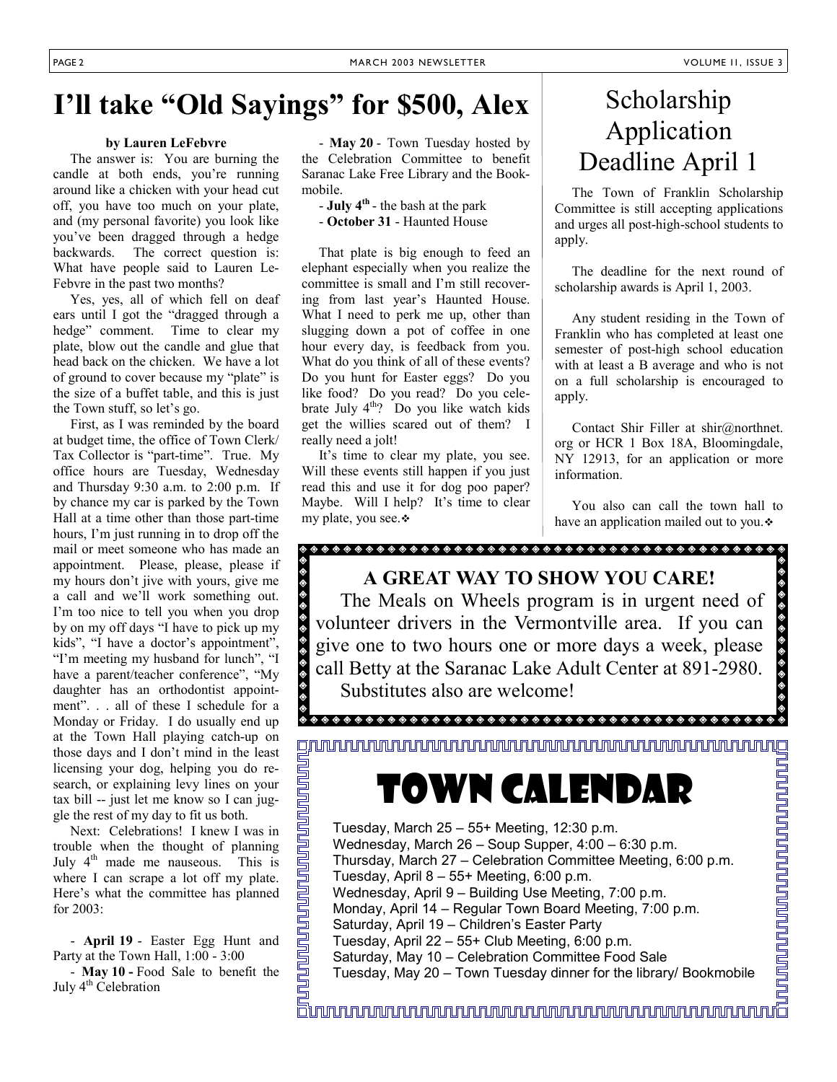## **I'll take "Old Sayings" for \$500, Alex**

#### **by Lauren LeFebvre**

 The answer is: You are burning the candle at both ends, you're running around like a chicken with your head cut off, you have too much on your plate, and (my personal favorite) you look like you've been dragged through a hedge backwards. The correct question is: What have people said to Lauren Le-Febvre in the past two months?

 Yes, yes, all of which fell on deaf ears until I got the "dragged through a hedge" comment. Time to clear my plate, blow out the candle and glue that head back on the chicken. We have a lot of ground to cover because my "plate" is the size of a buffet table, and this is just the Town stuff, so let's go.

 First, as I was reminded by the board at budget time, the office of Town Clerk/ Tax Collector is "part-time". True. My office hours are Tuesday, Wednesday and Thursday 9:30 a.m. to 2:00 p.m. If by chance my car is parked by the Town Hall at a time other than those part-time hours, I'm just running in to drop off the mail or meet someone who has made an appointment. Please, please, please if my hours don't jive with yours, give me a call and we'll work something out. I'm too nice to tell you when you drop by on my off days "I have to pick up my kids", "I have a doctor's appointment", "I'm meeting my husband for lunch", "I have a parent/teacher conference", "My daughter has an orthodontist appointment". . . all of these I schedule for a Monday or Friday. I do usually end up at the Town Hall playing catch-up on those days and I don't mind in the least licensing your dog, helping you do research, or explaining levy lines on your tax bill -- just let me know so I can juggle the rest of my day to fit us both.

 Next: Celebrations! I knew I was in trouble when the thought of planning July  $4<sup>th</sup>$  made me nauseous. This is where I can scrape a lot off my plate. Here's what the committee has planned for 2003:

 - **April 19** - Easter Egg Hunt and Party at the Town Hall, 1:00 - 3:00

 - **May 10 -** Food Sale to benefit the July 4<sup>th</sup> Celebration

 - **May 20** - Town Tuesday hosted by the Celebration Committee to benefit Saranac Lake Free Library and the Bookmobile.

- **July 4th** - the bash at the park

- **October 31** - Haunted House

 That plate is big enough to feed an elephant especially when you realize the committee is small and I'm still recovering from last year's Haunted House. What I need to perk me up, other than slugging down a pot of coffee in one hour every day, is feedback from you. What do you think of all of these events? Do you hunt for Easter eggs? Do you like food? Do you read? Do you celebrate July  $4^{th}$ ? Do you like watch kids get the willies scared out of them? I really need a jolt!

 It's time to clear my plate, you see. Will these events still happen if you just read this and use it for dog poo paper? Maybe. Will I help? It's time to clear my plate, you see.

. . . . . . . . . . . . . . .

## Scholarship Application Deadline April 1

 The Town of Franklin Scholarship Committee is still accepting applications and urges all post-high-school students to apply.

 The deadline for the next round of scholarship awards is April 1, 2003.

 Any student residing in the Town of Franklin who has completed at least one semester of post-high school education with at least a B average and who is not on a full scholarship is encouraged to apply.

 Contact Shir Filler at shir@northnet. org or HCR 1 Box 18A, Bloomingdale, NY 12913, for an application or more information.

 You also can call the town hall to have an application mailed out to you.  $\cdot$ 

. . . . . . . . . . . . . . . .

◈◈◈◈

## **A GREAT WAY TO SHOW YOU CARE!**

 The Meals on Wheels program is in urgent need of volunteer drivers in the Vermontville area. If you can give one to two hours one or more days a week, please call Betty at the Saranac Lake Adult Center at 891-2980. Substitutes also are welcome!

# Town Calendar

Tuesday, March 25 – 55+ Meeting, 12:30 p.m. Wednesday, March 26 – Soup Supper, 4:00 – 6:30 p.m. Thursday, March 27 – Celebration Committee Meeting, 6:00 p.m. Tuesday, April 8 – 55+ Meeting, 6:00 p.m. Wednesday, April 9 – Building Use Meeting, 7:00 p.m. Monday, April 14 – Regular Town Board Meeting, 7:00 p.m. Saturday, April 19 – Children's Easter Party Tuesday, April 22 – 55+ Club Meeting, 6:00 p.m. Saturday, May 10 – Celebration Committee Food Sale Tuesday, May 20 – Town Tuesday dinner for the library/ Bookmobile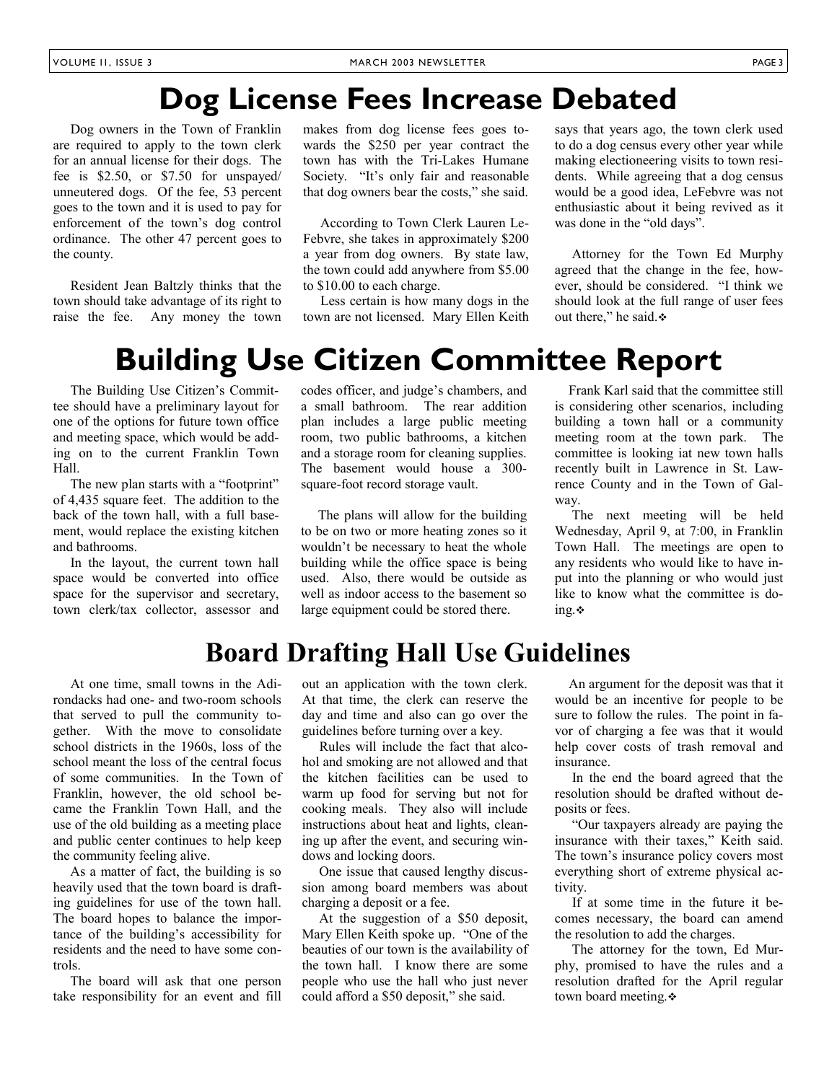## **Dog License Fees Increase Debated**

 Dog owners in the Town of Franklin are required to apply to the town clerk for an annual license for their dogs. The fee is \$2.50, or \$7.50 for unspayed/ unneutered dogs. Of the fee, 53 percent goes to the town and it is used to pay for enforcement of the town's dog control ordinance. The other 47 percent goes to the county.

 Resident Jean Baltzly thinks that the town should take advantage of its right to raise the fee. Any money the town makes from dog license fees goes towards the \$250 per year contract the town has with the Tri-Lakes Humane Society. "It's only fair and reasonable that dog owners bear the costs," she said.

 According to Town Clerk Lauren Le-Febvre, she takes in approximately \$200 a year from dog owners. By state law, the town could add anywhere from \$5.00 to \$10.00 to each charge.

 Less certain is how many dogs in the town are not licensed. Mary Ellen Keith says that years ago, the town clerk used to do a dog census every other year while making electioneering visits to town residents. While agreeing that a dog census would be a good idea, LeFebvre was not enthusiastic about it being revived as it was done in the "old days".

 Attorney for the Town Ed Murphy agreed that the change in the fee, however, should be considered. "I think we should look at the full range of user fees out there," he said.

## **Building Use Citizen Committee Report**

 The Building Use Citizen's Committee should have a preliminary layout for one of the options for future town office and meeting space, which would be adding on to the current Franklin Town Hall.

 The new plan starts with a "footprint" of 4,435 square feet. The addition to the back of the town hall, with a full basement, would replace the existing kitchen and bathrooms.

 In the layout, the current town hall space would be converted into office space for the supervisor and secretary, town clerk/tax collector, assessor and codes officer, and judge's chambers, and a small bathroom. The rear addition plan includes a large public meeting room, two public bathrooms, a kitchen and a storage room for cleaning supplies. The basement would house a 300 square-foot record storage vault.

 The plans will allow for the building to be on two or more heating zones so it wouldn't be necessary to heat the whole building while the office space is being used. Also, there would be outside as well as indoor access to the basement so large equipment could be stored there.

 Frank Karl said that the committee still is considering other scenarios, including building a town hall or a community meeting room at the town park. The committee is looking iat new town halls recently built in Lawrence in St. Lawrence County and in the Town of Galway.

 The next meeting will be held Wednesday, April 9, at 7:00, in Franklin Town Hall. The meetings are open to any residents who would like to have input into the planning or who would just like to know what the committee is doing.

## **Board Drafting Hall Use Guidelines**

 At one time, small towns in the Adirondacks had one- and two-room schools that served to pull the community together. With the move to consolidate school districts in the 1960s, loss of the school meant the loss of the central focus of some communities. In the Town of Franklin, however, the old school became the Franklin Town Hall, and the use of the old building as a meeting place and public center continues to help keep the community feeling alive.

 As a matter of fact, the building is so heavily used that the town board is drafting guidelines for use of the town hall. The board hopes to balance the importance of the building's accessibility for residents and the need to have some controls.

 The board will ask that one person take responsibility for an event and fill

out an application with the town clerk. At that time, the clerk can reserve the day and time and also can go over the guidelines before turning over a key.

 Rules will include the fact that alcohol and smoking are not allowed and that the kitchen facilities can be used to warm up food for serving but not for cooking meals. They also will include instructions about heat and lights, cleaning up after the event, and securing windows and locking doors.

 One issue that caused lengthy discussion among board members was about charging a deposit or a fee.

 At the suggestion of a \$50 deposit, Mary Ellen Keith spoke up. "One of the beauties of our town is the availability of the town hall. I know there are some people who use the hall who just never could afford a \$50 deposit," she said.

 An argument for the deposit was that it would be an incentive for people to be sure to follow the rules. The point in favor of charging a fee was that it would help cover costs of trash removal and insurance.

 In the end the board agreed that the resolution should be drafted without deposits or fees.

 "Our taxpayers already are paying the insurance with their taxes," Keith said. The town's insurance policy covers most everything short of extreme physical activity.

 If at some time in the future it becomes necessary, the board can amend the resolution to add the charges.

 The attorney for the town, Ed Murphy, promised to have the rules and a resolution drafted for the April regular town board meeting.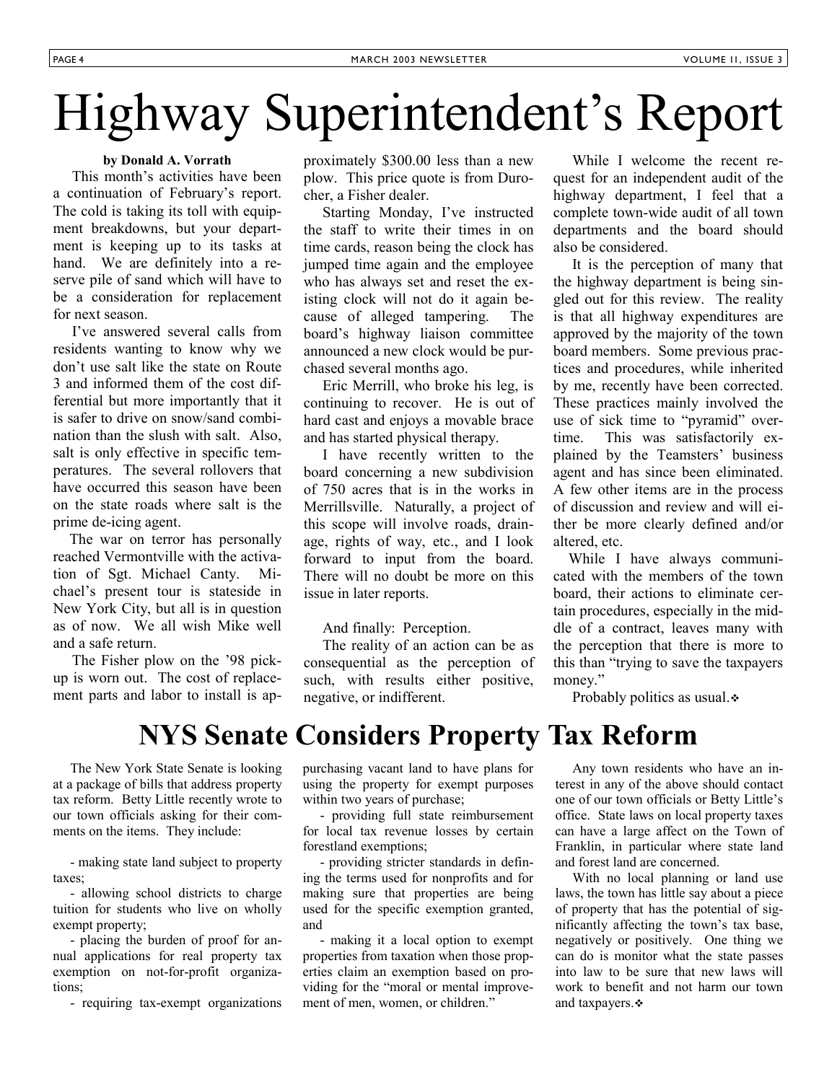# Highway Superintendent's Report

### **by Donald A. Vorrath**

 This month's activities have been a continuation of February's report. The cold is taking its toll with equipment breakdowns, but your department is keeping up to its tasks at hand. We are definitely into a reserve pile of sand which will have to be a consideration for replacement for next season.

 I've answered several calls from residents wanting to know why we don't use salt like the state on Route 3 and informed them of the cost differential but more importantly that it is safer to drive on snow/sand combination than the slush with salt. Also, salt is only effective in specific temperatures. The several rollovers that have occurred this season have been on the state roads where salt is the prime de-icing agent.

 The war on terror has personally reached Vermontville with the activation of Sgt. Michael Canty. Michael's present tour is stateside in New York City, but all is in question as of now. We all wish Mike well and a safe return.

 The Fisher plow on the '98 pickup is worn out. The cost of replacement parts and labor to install is approximately \$300.00 less than a new plow. This price quote is from Durocher, a Fisher dealer.

 Starting Monday, I've instructed the staff to write their times in on time cards, reason being the clock has jumped time again and the employee who has always set and reset the existing clock will not do it again because of alleged tampering. The board's highway liaison committee announced a new clock would be purchased several months ago.

 Eric Merrill, who broke his leg, is continuing to recover. He is out of hard cast and enjoys a movable brace and has started physical therapy.

 I have recently written to the board concerning a new subdivision of 750 acres that is in the works in Merrillsville. Naturally, a project of this scope will involve roads, drainage, rights of way, etc., and I look forward to input from the board. There will no doubt be more on this issue in later reports.

And finally: Perception.

 The reality of an action can be as consequential as the perception of such, with results either positive, negative, or indifferent.

 While I welcome the recent request for an independent audit of the highway department, I feel that a complete town-wide audit of all town departments and the board should also be considered.

 It is the perception of many that the highway department is being singled out for this review. The reality is that all highway expenditures are approved by the majority of the town board members. Some previous practices and procedures, while inherited by me, recently have been corrected. These practices mainly involved the use of sick time to "pyramid" overtime. This was satisfactorily explained by the Teamsters' business agent and has since been eliminated. A few other items are in the process of discussion and review and will either be more clearly defined and/or altered, etc.

 While I have always communicated with the members of the town board, their actions to eliminate certain procedures, especially in the middle of a contract, leaves many with the perception that there is more to this than "trying to save the taxpayers money."

Probably politics as usual.

## **NYS Senate Considers Property Tax Reform**

 The New York State Senate is looking at a package of bills that address property tax reform. Betty Little recently wrote to our town officials asking for their comments on the items. They include:

 - making state land subject to property taxes;

 - allowing school districts to charge tuition for students who live on wholly exempt property;

 - placing the burden of proof for annual applications for real property tax exemption on not-for-profit organizations;

- requiring tax-exempt organizations

purchasing vacant land to have plans for using the property for exempt purposes within two years of purchase;

 - providing full state reimbursement for local tax revenue losses by certain forestland exemptions;

 - providing stricter standards in defining the terms used for nonprofits and for making sure that properties are being used for the specific exemption granted, and

 - making it a local option to exempt properties from taxation when those properties claim an exemption based on providing for the "moral or mental improvement of men, women, or children."

 Any town residents who have an interest in any of the above should contact one of our town officials or Betty Little's office. State laws on local property taxes can have a large affect on the Town of Franklin, in particular where state land and forest land are concerned.

 With no local planning or land use laws, the town has little say about a piece of property that has the potential of significantly affecting the town's tax base, negatively or positively. One thing we can do is monitor what the state passes into law to be sure that new laws will work to benefit and not harm our town and taxpayers.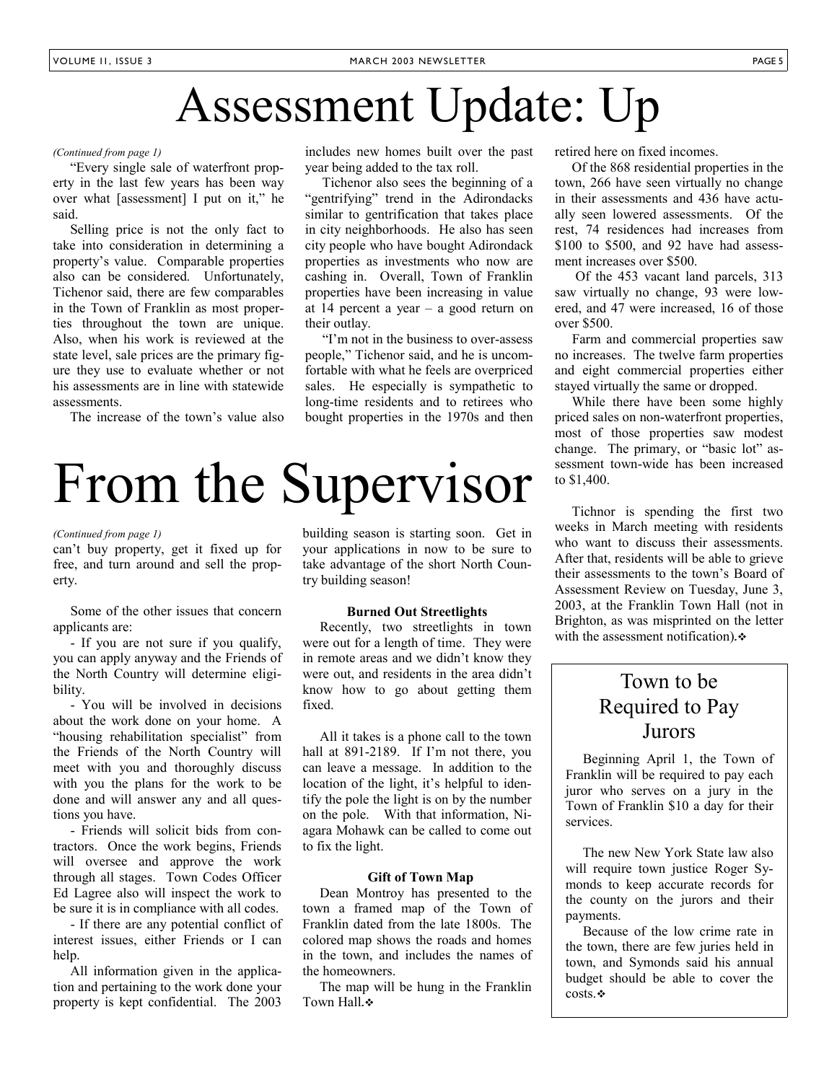# Assessment Update: Up

#### *(Continued from page 1)*

 "Every single sale of waterfront property in the last few years has been way over what [assessment] I put on it," he said.

 Selling price is not the only fact to take into consideration in determining a property's value. Comparable properties also can be considered. Unfortunately, Tichenor said, there are few comparables in the Town of Franklin as most properties throughout the town are unique. Also, when his work is reviewed at the state level, sale prices are the primary figure they use to evaluate whether or not his assessments are in line with statewide assessments.

The increase of the town's value also

includes new homes built over the past year being added to the tax roll.

 Tichenor also sees the beginning of a "gentrifying" trend in the Adirondacks similar to gentrification that takes place in city neighborhoods. He also has seen city people who have bought Adirondack properties as investments who now are cashing in. Overall, Town of Franklin properties have been increasing in value at 14 percent a year – a good return on their outlay.

 "I'm not in the business to over-assess people," Tichenor said, and he is uncomfortable with what he feels are overpriced sales. He especially is sympathetic to long-time residents and to retirees who bought properties in the 1970s and then



#### *(Continued from page 1)*

can't buy property, get it fixed up for free, and turn around and sell the property.

 Some of the other issues that concern applicants are:

 - If you are not sure if you qualify, you can apply anyway and the Friends of the North Country will determine eligibility.

 - You will be involved in decisions about the work done on your home. A "housing rehabilitation specialist" from the Friends of the North Country will meet with you and thoroughly discuss with you the plans for the work to be done and will answer any and all questions you have.

 - Friends will solicit bids from contractors. Once the work begins, Friends will oversee and approve the work through all stages. Town Codes Officer Ed Lagree also will inspect the work to be sure it is in compliance with all codes.

 - If there are any potential conflict of interest issues, either Friends or I can help.

 All information given in the application and pertaining to the work done your property is kept confidential. The 2003 building season is starting soon. Get in your applications in now to be sure to take advantage of the short North Country building season!

#### **Burned Out Streetlights**

 Recently, two streetlights in town were out for a length of time. They were in remote areas and we didn't know they were out, and residents in the area didn't know how to go about getting them fixed.

 All it takes is a phone call to the town hall at 891-2189. If I'm not there, you can leave a message. In addition to the location of the light, it's helpful to identify the pole the light is on by the number on the pole. With that information, Niagara Mohawk can be called to come out to fix the light.

#### **Gift of Town Map**

 Dean Montroy has presented to the town a framed map of the Town of Franklin dated from the late 1800s. The colored map shows the roads and homes in the town, and includes the names of the homeowners.

 The map will be hung in the Franklin Town Hall*.*

retired here on fixed incomes.

 Of the 868 residential properties in the town, 266 have seen virtually no change in their assessments and 436 have actually seen lowered assessments. Of the rest, 74 residences had increases from \$100 to \$500, and 92 have had assessment increases over \$500.

 Of the 453 vacant land parcels, 313 saw virtually no change, 93 were lowered, and 47 were increased, 16 of those over \$500.

 Farm and commercial properties saw no increases. The twelve farm properties and eight commercial properties either stayed virtually the same or dropped.

 While there have been some highly priced sales on non-waterfront properties, most of those properties saw modest change. The primary, or "basic lot" assessment town-wide has been increased to \$1,400.

 Tichnor is spending the first two weeks in March meeting with residents who want to discuss their assessments. After that, residents will be able to grieve their assessments to the town's Board of Assessment Review on Tuesday, June 3, 2003, at the Franklin Town Hall (not in Brighton, as was misprinted on the letter with the assessment notification)*.*

## Town to be Required to Pay Jurors

 Beginning April 1, the Town of Franklin will be required to pay each juror who serves on a jury in the Town of Franklin \$10 a day for their services.

 The new New York State law also will require town justice Roger Symonds to keep accurate records for the county on the jurors and their payments.

 Because of the low crime rate in the town, there are few juries held in town, and Symonds said his annual budget should be able to cover the costs. ❖